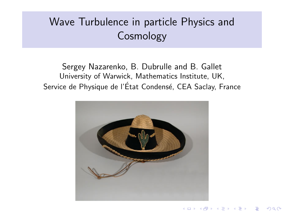# Wave Turbulence in particle Physics and Cosmology

Sergey Nazarenko, B. Dubrulle and B. Gallet University of Warwick, Mathematics Institute, UK, Service de Physique de l'État Condensé, CEA Saclay, France



 $2990$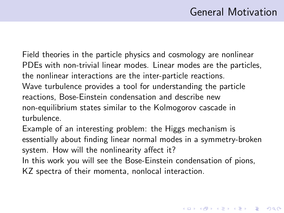## General Motivation

4 D > 4 P + 4 B + 4 B + B + 9 Q O

Field theories in the particle physics and cosmology are nonlinear PDEs with non-trivial linear modes. Linear modes are the particles, the nonlinear interactions are the inter-particle reactions. Wave turbulence provides a tool for understanding the particle reactions, Bose-Einstein condensation and describe new non-equilibrium states similar to the Kolmogorov cascade in turbulence.

Example of an interesting problem: the Higgs mechanism is essentially about finding linear normal modes in a symmetry-broken system. How will the nonlinearity affect it?

In this work you will see the Bose-Einstein condensation of pions, KZ spectra of their momenta, nonlocal interaction.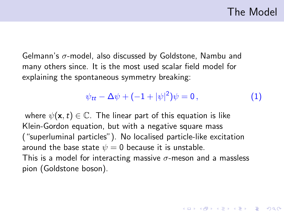## The Model

4 D > 4 P + 4 B + 4 B + B + 9 Q O

Gelmann's  $\sigma$ -model, also discussed by Goldstone, Nambu and many others since. It is the most used scalar field model for explaining the spontaneous symmetry breaking:

<span id="page-2-0"></span>
$$
\psi_{tt} - \Delta \psi + (-1 + |\psi|^2) \psi = 0, \qquad (1)
$$

where  $\psi(\mathbf{x},t) \in \mathbb{C}$ . The linear part of this equation is like Klein-Gordon equation, but with a negative square mass ("superluminal particles"). No localised particle-like excitation around the base state  $\psi = 0$  because it is unstable. This is a model for interacting massive  $\sigma$ -meson and a massless pion (Goldstone boson).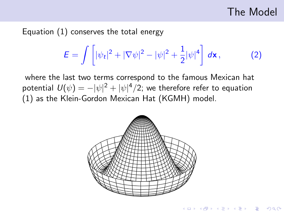## The Model

**KORK ERKER ADE YOUR** 

Equation [\(1\)](#page-2-0) conserves the total energy

$$
E = \int \left[ |\psi_t|^2 + |\nabla \psi|^2 - |\psi|^2 + \frac{1}{2} |\psi|^4 \right] d\mathbf{x}, \tag{2}
$$

where the last two terms correspond to the famous Mexican hat potential  $U(\psi)=-|\psi|^2+|\psi|^4/2;$  we therefore refer to equation [\(1\)](#page-2-0) as the Klein-Gordon Mexican Hat (KGMH) model.

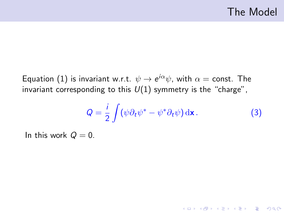K ロ ▶ K @ ▶ K 할 > K 할 > 1 할 > 1 이익어

Equation  $(1)$  is invariant w.r.t.  $\psi\rightarrow e^{i\alpha}\psi$ , with  $\alpha=$  const. The invariant corresponding to this  $U(1)$  symmetry is the "charge",

$$
Q = \frac{i}{2} \int (\psi \partial_t \psi^* - \psi^* \partial_t \psi) \, \mathrm{d}\mathbf{x} \,. \tag{3}
$$

In this work  $Q = 0$ .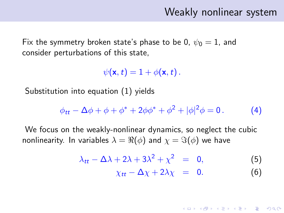## Weakly nonlinear system

<span id="page-5-1"></span>**KORKARA KERKER SAGA** 

Fix the symmetry broken state's phase to be 0,  $\psi_0 = 1$ , and consider perturbations of this state,

 $\psi(\mathbf{x},t) = 1 + \phi(\mathbf{x},t)$ .

Substitution into equation [\(1\)](#page-2-0) yields

$$
\phi_{tt} - \Delta \phi + \phi + \phi^* + 2\phi \phi^* + \phi^2 + |\phi|^2 \phi = 0.
$$
 (4)

We focus on the weakly-nonlinear dynamics, so neglect the cubic nonlinearity. In variables  $\lambda = \Re(\phi)$  and  $\chi = \Im(\phi)$  we have

<span id="page-5-0"></span>
$$
\lambda_{tt} - \Delta\lambda + 2\lambda + 3\lambda^2 + \chi^2 = 0, \tag{5}
$$

$$
\chi_{tt} - \Delta \chi + 2\lambda \chi = 0. \tag{6}
$$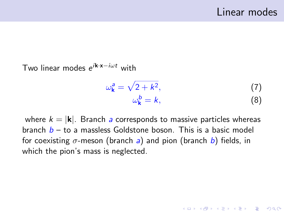**KORK ERKER ADE YOUR** 

Two linear modes *e<sup>ik∙x−iωt</sup> w*ith

$$
\omega_{\mathbf{k}}^a = \sqrt{2 + k^2},
$$
  
\n
$$
\omega_{\mathbf{k}}^b = k,
$$
\n(7)

where  $k = |\mathbf{k}|$ . Branch a corresponds to massive particles whereas branch  $b -$  to a massless Goldstone boson. This is a basic model for coexisting  $\sigma$ -meson (branch a) and pion (branch b) fields, in which the pion's mass is neglected.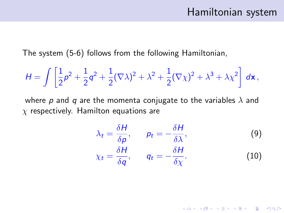#### Hamiltonian system

K ロ ▶ K @ ▶ K 할 > K 할 > 1 할 > 1 이익어

The system [\(5-](#page-5-0)[6\)](#page-5-1) follows from the following Hamiltonian,

$$
H = \int \left[ \frac{1}{2} \rho^2 + \frac{1}{2} q^2 + \frac{1}{2} (\nabla \lambda)^2 + \lambda^2 + \frac{1}{2} (\nabla \chi)^2 + \lambda^3 + \lambda \chi^2 \right] d\mathbf{x},
$$

where p and q are the momenta conjugate to the variables  $\lambda$  and  $\chi$  respectively. Hamilton equations are

$$
\lambda_t = \frac{\delta H}{\delta \rho}, \qquad p_t = -\frac{\delta H}{\delta \lambda}, \tag{9}
$$
\n
$$
\chi_t = \frac{\delta H}{\delta q}, \qquad q_t = -\frac{\delta H}{\delta \chi}. \tag{10}
$$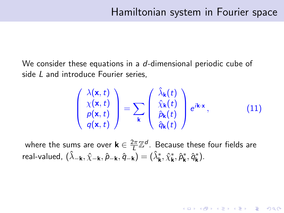KID KA KERKER KID KO

We consider these equations in a d-dimensional periodic cube of side L and introduce Fourier series,

$$
\begin{pmatrix}\n\lambda(\mathbf{x},t) \\
\chi(\mathbf{x},t) \\
p(\mathbf{x},t) \\
q(\mathbf{x},t)\n\end{pmatrix} = \sum_{\mathbf{k}} \begin{pmatrix}\n\hat{\lambda}_{\mathbf{k}}(t) \\
\hat{\chi}_{\mathbf{k}}(t) \\
\hat{p}_{\mathbf{k}}(t) \\
\hat{q}_{\mathbf{k}}(t)\n\end{pmatrix} e^{i\mathbf{k}\cdot\mathbf{x}},
$$
\n(11)

where the sums are over  $\mathsf{k} \in \frac{2\pi}{L}$  $\frac{2\pi}{L}\mathbb{Z}^d$ . Because these four fields are real-valued,  $(\hat{\lambda}_{-{\bf k}},\hat{\chi}_{-{\bf k}},\hat{\rho}_{-{\bf k}},\hat{q}_{-{\bf k}})=(\hat{\lambda}^*_{\bf k},\hat{\chi}^*_{\bf k},\hat{\rho}^*_{\bf k},\hat{q}^*_{\bf k}).$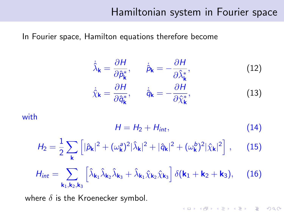### Hamiltonian system in Fourier space

In Fourier space, Hamilton equations therefore become

$$
\dot{\hat{\lambda}}_{\mathbf{k}} = \frac{\partial H}{\partial \hat{p}_{\mathbf{k}}^*}, \qquad \dot{\hat{p}}_{\mathbf{k}} = -\frac{\partial H}{\partial \hat{\lambda}_{\mathbf{k}}^*},
$$
\n
$$
\dot{\hat{\chi}}_{\mathbf{k}} = \frac{\partial H}{\partial \hat{q}_{\mathbf{k}}^*}, \qquad \dot{\hat{q}}_{\mathbf{k}} = -\frac{\partial H}{\partial \hat{\chi}_{\mathbf{k}}^*},
$$
\n(12)

with

$$
H = H_2 + H_{int}, \tag{14}
$$

**K ロ ▶ K @ ▶ K 할 X X 할 X 및 할 X X Q Q O \*** 

$$
H_2 = \frac{1}{2} \sum_{\mathbf{k}} \left[ |\hat{p}_{\mathbf{k}}|^2 + (\omega_{\mathbf{k}}^2)^2 |\hat{\lambda}_{\mathbf{k}}|^2 + |\hat{q}_{\mathbf{k}}|^2 + (\omega_{\mathbf{k}}^b)^2 |\hat{\chi}_{\mathbf{k}}|^2 \right], \quad (15)
$$

$$
H_{int} = \sum_{\mathbf{k}_1,\mathbf{k}_2,\mathbf{k}_3} \left[ \hat{\lambda}_{\mathbf{k}_1} \hat{\lambda}_{\mathbf{k}_2} \hat{\lambda}_{\mathbf{k}_3} + \hat{\lambda}_{\mathbf{k}_1} \hat{\chi}_{\mathbf{k}_2} \hat{\chi}_{\mathbf{k}_3} \right] \delta(\mathbf{k}_1 + \mathbf{k}_2 + \mathbf{k}_3), \quad (16)
$$

where  $\delta$  is the Kroenecker symbol.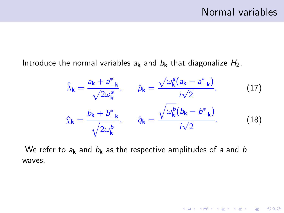K ロ ▶ K @ ▶ K 할 ▶ K 할 ▶ | 할 | © 9 Q @

Introduce the normal variables  $a_k$  and  $b_k$  that diagonalize  $H_2$ ,

$$
\hat{\lambda}_{\mathbf{k}} = \frac{a_{\mathbf{k}} + a_{-\mathbf{k}}^{*}}{\sqrt{2\omega_{\mathbf{k}}^{a}}}, \qquad \hat{\rho}_{\mathbf{k}} = \frac{\sqrt{\omega_{\mathbf{k}}^{a}}(a_{\mathbf{k}} - a_{-\mathbf{k}}^{*})}{i\sqrt{2}}, \qquad (17)
$$
\n
$$
\hat{\chi}_{\mathbf{k}} = \frac{b_{\mathbf{k}} + b_{-\mathbf{k}}^{*}}{\sqrt{2\omega_{\mathbf{k}}^{b}}}, \qquad \hat{q}_{\mathbf{k}} = \frac{\sqrt{\omega_{\mathbf{k}}^{b}}(b_{\mathbf{k}} - b_{-\mathbf{k}}^{*})}{i\sqrt{2}}.
$$
\n(18)

We refer to  $a_k$  and  $b_k$  as the respective amplitudes of a and b waves.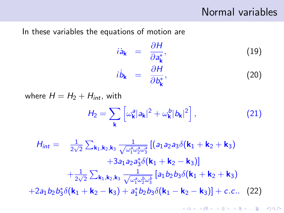#### Normal variables

In these variables the equations of motion are

$$
i\dot{a}_{\mathbf{k}} = \frac{\partial H}{\partial a_{\mathbf{k}}^*},
$$
\n
$$
i\dot{b}_{\mathbf{k}} = \frac{\partial H}{\partial b_{\mathbf{k}}^*},
$$
\n(19)

where  $H = H_2 + H_{int}$ , with

$$
H_2 = \sum_{\mathbf{k}} \left[ \omega_{\mathbf{k}}^a |a_{\mathbf{k}}|^2 + \omega_{\mathbf{k}}^b |b_{\mathbf{k}}|^2 \right], \tag{21}
$$

 $H_{int} = \frac{1}{2\sqrt{2}}$  $\frac{1}{2\sqrt{2}}\sum_{\mathsf{k}_1,\mathsf{k}_2,\mathsf{k}_3} \frac{1}{\sqrt{\omega_1^a\omega_2^b}}$  $\frac{1}{\omega_1^2\omega_2^2\omega_3^2}\left[\left(\mathsf{a}_1\mathsf{a}_2\mathsf{a}_3\delta(\mathsf{k}_1+\mathsf{k}_2+\mathsf{k}_3) \right.\right.$  $+3a_1a_2a_3^* \delta({\bf k}_1 + {\bf k}_2 - {\bf k}_3)]$  $+\frac{1}{2}$  $\frac{1}{2\sqrt{2}}\sum_{\mathsf{k}_1,\mathsf{k}_2,\mathsf{k}_3} \frac{1}{\sqrt{\omega_\texttt{1}^{\mathsf{a}} \omega_\texttt{2}^{\mathsf{a}}}}$  $\frac{1}{\omega_1^a\omega_2^b\omega_3^b}\big[a_1b_2b_3\delta(\mathsf{k}_1+\mathsf{k}_2+\mathsf{k}_3)$  $+2a_1b_2b_3^* \delta(\mathbf{k}_1+\mathbf{k}_2-\mathbf{k}_3)+a_1^* b_2b_3\delta(\mathbf{k}_1-\mathbf{k}_2-\mathbf{k}_3)]+c.c..$  (22)

<span id="page-11-0"></span>**KORK ERKER ADE YOUR**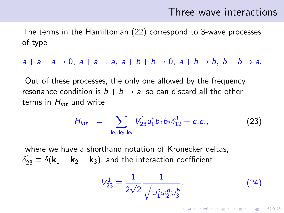#### Three-wave interactions

**KORKAR KERKER E VOOR** 

The terms in the Hamiltonian [\(22\)](#page-11-0) correspond to 3-wave processes of type

 $a+a+a \rightarrow 0$ ,  $a+a \rightarrow a$ ,  $a+b+b \rightarrow 0$ ,  $a+b \rightarrow b$ ,  $b+b \rightarrow a$ .

Out of these processes, the only one allowed by the frequency resonance condition is  $b + b \rightarrow a$ , so can discard all the other terms in  $H_{int}$  and write

$$
H_{int} = \sum_{\mathbf{k}_1, \mathbf{k}_2, \mathbf{k}_3} V_{23}^{1} a_1^* b_2 b_3 \delta_{12}^{3} + c.c., \qquad (23)
$$

where we have a shorthand notation of Kronecker deltas,  $\delta_{23}^1\equiv\delta({\bf k}_1-{\bf k}_2-{\bf k}_3)$ , and the interaction coefficient

$$
V_{23}^1 \equiv \frac{1}{2\sqrt{2}} \frac{1}{\sqrt{\omega_1^2 \omega_2^b \omega_3^b}}.
$$
 (24)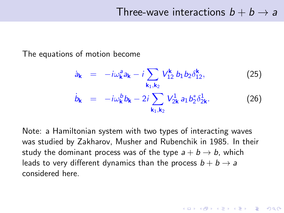**KORK ERKER ADE YOUR** 

The equations of motion become

$$
\dot{a}_{\mathbf{k}} = -i\omega_{\mathbf{k}}^2 a_{\mathbf{k}} - i \sum_{\mathbf{k}_1, \mathbf{k}_2} V_{12}^{\mathbf{k}} b_1 b_2 \delta_{12}^{\mathbf{k}},
$$
\n
$$
\dot{b}_{\mathbf{k}} = -i\omega_{\mathbf{k}}^b b_{\mathbf{k}} - 2i \sum_{\mathbf{k}_1, \mathbf{k}_2} V_{2\mathbf{k}}^1 a_1 b_2^* \delta_{2\mathbf{k}}^1.
$$
\n(26)

Note: a Hamiltonian system with two types of interacting waves was studied by Zakharov, Musher and Rubenchik in 1985. In their study the dominant process was of the type  $a + b \rightarrow b$ , which leads to very different dynamics than the process  $b + b \rightarrow a$ considered here.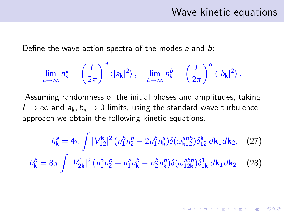### Wave kinetic equations

**K ロ ▶ K @ ▶ K 할 X X 할 X 및 할 X X Q Q O** 

Define the wave action spectra of the modes  $a$  and  $b$ :

$$
\lim_{L\to\infty}n_{\bf k}^a=\left(\frac{L}{2\pi}\right)^d\left\langle |a_{\bf k}|^2\right\rangle,\quad \lim_{L\to\infty}n_{\bf k}^b=\left(\frac{L}{2\pi}\right)^d\left\langle |b_{\bf k}|^2\right\rangle,
$$

Assuming randomness of the initial phases and amplitudes, taking  $L \to \infty$  and  $a_k, b_k \to 0$  limits, using the standard wave turbulence approach we obtain the following kinetic equations,

<span id="page-14-1"></span><span id="page-14-0"></span>
$$
\dot{n}_{\mathbf{k}}^a = 4\pi \int |V_{12}^{\mathbf{k}}|^2 (n_1^b n_2^b - 2n_1^b n_{\mathbf{k}}^a) \delta(\omega_{\mathbf{k}12}^{abb}) \delta_{12}^{\mathbf{k}} d\mathbf{k}_1 d\mathbf{k}_2, \quad (27)
$$

$$
\dot{n}_{\mathbf{k}}^b = 8\pi \int |V_{2\mathbf{k}}^1|^2 (n_1^a n_2^b + n_1^a n_{\mathbf{k}}^b - n_2^b n_{\mathbf{k}}^b) \delta(\omega_{12\mathbf{k}}^{abb}) \delta_{2\mathbf{k}}^1 d\mathbf{k}_1 d\mathbf{k}_2. \quad (28)
$$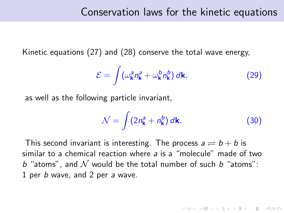Kinetic equations [\(27\)](#page-14-0) and [\(28\)](#page-14-1) conserve the total wave energy,

$$
\mathcal{E} = \int (\omega_{\mathbf{k}}^a n_{\mathbf{k}}^a + \omega_{\mathbf{k}}^b n_{\mathbf{k}}^b) \, d\mathbf{k},\tag{29}
$$

as well as the following particle invariant,

$$
\mathcal{N} = \int (2n_{\mathbf{k}}^a + n_{\mathbf{k}}^b) \, d\mathbf{k}.\tag{30}
$$

**KORK ERKER ADE YOUR** 

This second invariant is interesting. The process  $a \rightleftharpoons b + b$  is similar to a chemical reaction where a is a "molecule" made of two b "atoms", and  $\mathcal N$  would be the total number of such b "atoms": 1 per b wave, and 2 per a wave.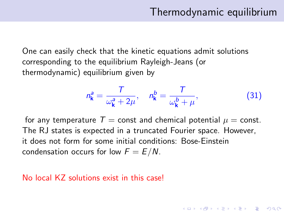**KORKAR KERKER E VOOR** 

One can easily check that the kinetic equations admit solutions corresponding to the equilibrium Rayleigh-Jeans (or thermodynamic) equilibrium given by

$$
n_{\mathbf{k}}^a = \frac{T}{\omega_{\mathbf{k}}^a + 2\mu}, \quad n_{\mathbf{k}}^b = \frac{T}{\omega_{\mathbf{k}}^b + \mu}, \tag{31}
$$

for any temperature  $T =$  const and chemical potential  $\mu =$  const. The RJ states is expected in a truncated Fourier space. However, it does not form for some initial conditions: Bose-Einstein condensation occurs for low  $F = E/N$ .

#### No local KZ solutions exist in this case!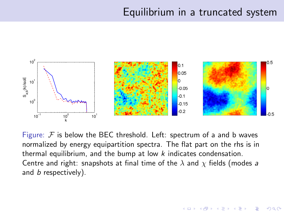## Equilibrium in a truncated system

 $2990$ 



Figure:  $F$  is below the BEC threshold. Left: spectrum of a and b waves normalized by energy equipartition spectra. The flat part on the rhs is in thermal equilibrium, and the bump at low  $k$  indicates condensation. Centre and right: snapshots at final time of the  $\lambda$  and  $\chi$  fields (modes a and *b* respectively).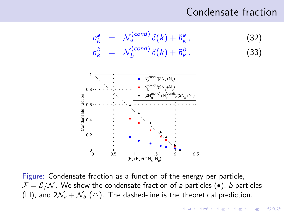## Condensate fraction



Figure: Condensate fraction as a function of the energy per particle,  $\mathcal{F} = \mathcal{E}/\mathcal{N}$ . We show the condensate fraction of a particles ( $\bullet$ ), b particles ( $\Box$ ), and  $2\mathcal{N}_a + \mathcal{N}_b$  ( $\triangle$ ). The dashed-line is the theoretical prediction.

ັດ

0.2  $0.4$ 

0 0.5 1 1.5 2 2.5

 $(E_a + E_b)/(2 N_a + N_b)$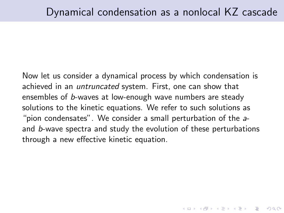4 D > 4 P + 4 B + 4 B + B + 9 Q O

Now let us consider a dynamical process by which condensation is achieved in an untruncated system. First, one can show that ensembles of b-waves at low-enough wave numbers are steady solutions to the kinetic equations. We refer to such solutions as "pion condensates". We consider a small perturbation of the aand b-wave spectra and study the evolution of these perturbations through a new effective kinetic equation.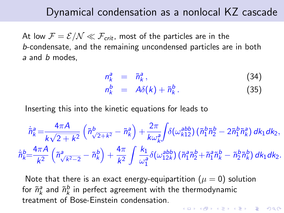#### Dynamical condensation as a nonlocal KZ cascade

At low  $\mathcal{F} = \mathcal{E}/\mathcal{N} \ll \mathcal{F}_{crit}$ , most of the particles are in the b-condensate, and the remaining uncondensed particles are in both a and *b* modes.

$$
n_k^a = \tilde{n}_k^a, \qquad (34)
$$

$$
n_k^b = A\delta(k) + \tilde{n}_k^b. \tag{35}
$$

Inserting this into the kinetic equations for leads to

$$
\dot{\tilde{n}}_{k}^{a} = \frac{4\pi A}{k\sqrt{2 + k^{2}}} \left( \tilde{n}_{\sqrt{2 + k^{2}}}^{b} - \tilde{n}_{k}^{a} \right) + \frac{2\pi}{k\omega_{k}^{a}} \int \delta(\omega_{k12}^{abb}) \left( \tilde{n}_{1}^{b} \tilde{n}_{2}^{b} - 2\tilde{n}_{1}^{b} \tilde{n}_{k}^{a} \right) dk_{1} dk_{2},
$$
\n
$$
\dot{\tilde{n}}_{k}^{b} = \frac{4\pi A}{k^{2}} \left( \tilde{n}_{\sqrt{k^{2}-2}}^{a} - \tilde{n}_{k}^{b} \right) + \frac{4\pi}{k^{2}} \int \frac{k_{1}}{\omega_{1}^{a}} \delta(\omega_{12k}^{abb}) \left( \tilde{n}_{1}^{a} \tilde{n}_{2}^{b} + \tilde{n}_{1}^{a} \tilde{n}_{k}^{b} - \tilde{n}_{2}^{b} \tilde{n}_{k}^{b} \right) dk_{1} dk_{2}.
$$

Note that there is an exact energy-equipartition ( $\mu = 0$ ) solution for  $\tilde{n}_k^{\mathsf{a}}$  and  $\tilde{n}_k^{\mathsf{b}}$  in perfect agreement with the thermodynamic treatment of Bose-Einstein condensation.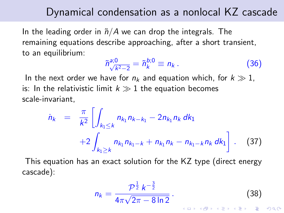#### Dynamical condensation as a nonlocal KZ cascade

In the leading order in  $\tilde{n}/A$  we can drop the integrals. The remaining equations describe approaching, after a short transient, to an equilibrium:

$$
\tilde{n}_{\sqrt{k^2-2}}^{a;0} = \tilde{n}_k^{b;0} \equiv n_k. \tag{36}
$$

In the next order we have for  $n_k$  and equation which, for  $k \gg 1$ , is: In the relativistic limit  $k \gg 1$  the equation becomes scale-invariant,

$$
\dot{n}_k = \frac{\pi}{k^2} \left[ \int_{k_1 \le k} n_{k_1} n_{k-k_1} - 2n_{k_1} n_k dk_1 + 2 \int_{k_1 \ge k} n_{k_1} n_{k-1-k} + n_{k_1} n_k - n_{k_1-k} n_k dk_1 \right].
$$
 (37)

This equation has an exact solution for the KZ type (direct energy cascade):

<span id="page-21-0"></span>
$$
n_k = \frac{\mathcal{P}^{\frac{1}{2}} k^{-\frac{3}{2}}}{4\pi\sqrt{2\pi - 8\ln 2}}.
$$
 (38)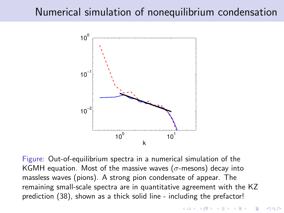## Numerical simulation of nonequilibrium condensation



Figure: Out-of-equilibrium spectra in a numerical simulation of the KGMH equation. Most of the massive waves ( $\sigma$ -mesons) decay into massless waves (pions). A strong pion condensate of appear. The remaining small-scale spectra are in quantitative agreement with the KZ prediction [\(38\)](#page-21-0), shown as a thick solid line - including the prefactor!